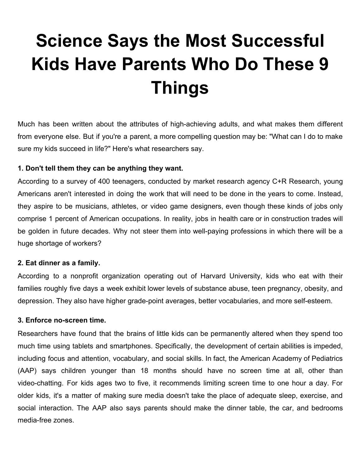# **Science Says the Most Successful Kids Have Parents Who Do These 9 Things**

Much has been written about the attributes of [high-achieving](https://www.inc.com/christina-desmarais/44-favorite-books-of-high-achievers.html) adults, and what makes them [different](https://www.inc.com/christina-desmarais/21-daily-habits-these-successful-executives-swear-.html) from [everyone](https://www.inc.com/christina-desmarais/21-daily-habits-these-successful-executives-swear-.html) else. But if you're a parent, a more compelling question may be: "What can I do to make sure my kids [succeed](https://www.inc.com/christina-desmarais/24-favorite-books-of-high-achievers.html) in life?" Here's what researchers say.

# **1. Don't tell them they can be anything they want.**

According to a survey of 400 [teenagers](https://www.inc.com/christina-desmarais/young-americans-have-zero-interest-in-the-most-in-demand-jobs-infographic.html), conducted by market research agency C+R Research, young Americans aren't interested in doing the work that will need to be done in the years to come. Instead, they aspire to be musicians, athletes, or video game designers, even though these kinds of jobs only comprise 1 percent of American occupations. In reality, jobs in health care or in [construction](https://www.curbed.com/2017/2/1/14474716/construction-vocational-training-labor-shortage-homebuilding) trades will be golden in future decades. Why not steer them into well-paying professions in which there will be a huge shortage of workers?

## **2. Eat dinner as a family.**

According to a nonprofit [organization](https://thefamilydinnerproject.org/resources/faq/) operating out of Harvard University, kids who eat with their families roughly five days a week exhibit lower levels of substance abuse, teen pregnancy, obesity, and depression. They also have higher grade-point averages, better vocabularies, and more self-esteem.

## **3. Enforce no-screen time.**

[Researchers](https://www.psychologytoday.com/blog/behind-online-behavior/201604/what-screen-time-can-really-do-kids-brains) have found that the brains of little kids can be permanently altered when they spend too much time using tablets and smartphones. Specifically, the development of certain abilities is impeded, including focus and attention, vocabulary, and social skills. In fact, the American Academy of [Pediatrics](https://www.aap.org/en-us/about-the-aap/aap-press-room/pages/american-academy-of-pediatrics-announces-new-recommendations-for-childrens-media-use.aspx) (AAP) says children younger than 18 months should have no screen time at all, other than video-chatting. For kids ages two to five, it recommends limiting screen time to one hour a day. For older kids, it's a matter of making sure media doesn't take the place of adequate sleep, exercise, and social interaction. The AAP also says parents should make the dinner table, the car, and bedrooms media-free zones.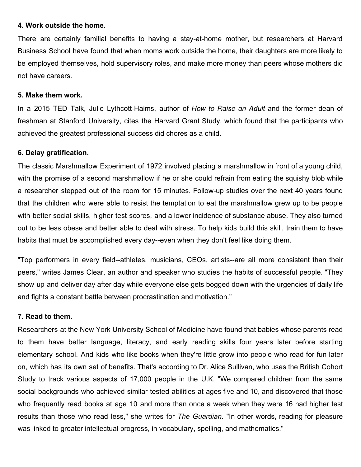## **4. Work outside the home.**

There are certainly familial benefits to having a stay-at-home mother, but researchers at [Harvard](http://www.hbs.edu/news/articles/Pages/mcginn-working-mom.aspx) [Business](http://www.hbs.edu/news/articles/Pages/mcginn-working-mom.aspx) School have found that when moms work outside the home, their daughters are more likely to be employed themselves, hold supervisory roles, and make more money than peers whose mothers did not have careers.

### **5. Make them work.**

In a 2015 [TED](https://www.ted.com/talks/julie_lythcott_haims_how_to_raise_successful_kids_without_over_parenting/transcript?language=en) Talk, Julie Lythcott-Haims, author of *How to Raise an Adult* and the former dean of freshman at Stanford University, cites the Harvard Grant Study, which found that the participants who achieved the greatest professional success did [chores](https://www.inc.com/bill-murphy-jr/kids-who-do-chores-are-more-successful-adults-according-to-science.html) as a child.

#### **6. Delay gratification.**

The classic [Marshmallow](http://jamesclear.com/delayed-gratification) Experiment of 1972 involved placing a marshmallow in front of a young child, with the promise of a second marshmallow if he or she could refrain from eating the squishy blob while a researcher stepped out of the room for 15 minutes. Follow-up studies over the next 40 years found that the children who were able to resist the temptation to eat the marshmallow grew up to be people with better social skills, higher test scores, and a lower incidence of substance abuse. They also turned out to be less obese and better able to deal with stress. To help kids build this skill, train them to have habits that must be accomplished every day--even when they don't feel like doing them.

"Top performers in every field--athletes, musicians, CEOs, artists--are all more consistent than their peers," writes [James](http://jamesclear.com/stop-procrastinating-seinfeld-strategy) Clear, an author and speaker who studies the habits of successful people. "They show up and deliver day after day while everyone else gets bogged down with the urgencies of daily life and fights a constant battle between procrastination and motivation."

## **7. Read to them.**

[Researchers](http://www.aappublications.org/news/2017/05/04/PASLiteracy050417) at the New York University School of Medicine have found that babies whose parents read to them have better language, literacy, and early reading skills four years later before starting elementary school. And kids who like books when they're little grow into people who read for fun later on, which has its own set of benefits. That's according to Dr. Alice Sullivan, who uses the British Cohort Study to track various aspects of 17,000 people in the U.K. "We compared children from the same social backgrounds who achieved similar tested abilities at ages five and 10, and discovered that those who frequently read books at age 10 and more than once a week when they were 16 had higher test results than those who read less," she writes for *The [Guardian](https://www.theguardian.com/books/booksblog/2013/sep/16/reading-improves-childrens-brains)*. "In other words, reading for pleasure was linked to greater intellectual progress, in vocabulary, spelling, and mathematics."